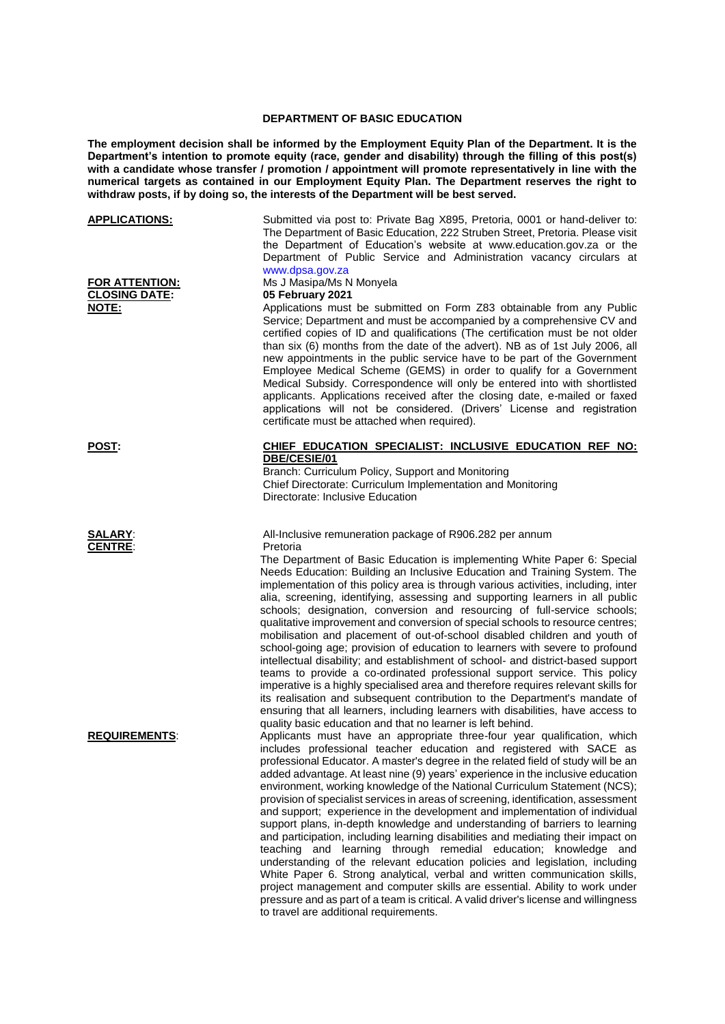## **DEPARTMENT OF BASIC EDUCATION**

**The employment decision shall be informed by the Employment Equity Plan of the Department. It is the Department's intention to promote equity (race, gender and disability) through the filling of this post(s) with a candidate whose transfer / promotion / appointment will promote representatively in line with the numerical targets as contained in our Employment Equity Plan. The Department reserves the right to withdraw posts, if by doing so, the interests of the Department will be best served.**

| <b>APPLICATIONS:</b><br><b>FOR ATTENTION:</b><br><b>CLOSING DATE:</b><br>NOTE: | Submitted via post to: Private Bag X895, Pretoria, 0001 or hand-deliver to:<br>The Department of Basic Education, 222 Struben Street, Pretoria. Please visit<br>the Department of Education's website at www.education.gov.za or the<br>Department of Public Service and Administration vacancy circulars at<br>www.dpsa.gov.za<br>Ms J Masipa/Ms N Monyela<br>05 February 2021<br>Applications must be submitted on Form Z83 obtainable from any Public<br>Service; Department and must be accompanied by a comprehensive CV and<br>certified copies of ID and qualifications (The certification must be not older                                                                                                                                                                                                                                                                                                                                                                                                                                                                                                                                                                                                      |
|--------------------------------------------------------------------------------|--------------------------------------------------------------------------------------------------------------------------------------------------------------------------------------------------------------------------------------------------------------------------------------------------------------------------------------------------------------------------------------------------------------------------------------------------------------------------------------------------------------------------------------------------------------------------------------------------------------------------------------------------------------------------------------------------------------------------------------------------------------------------------------------------------------------------------------------------------------------------------------------------------------------------------------------------------------------------------------------------------------------------------------------------------------------------------------------------------------------------------------------------------------------------------------------------------------------------|
|                                                                                | than six (6) months from the date of the advert). NB as of 1st July 2006, all<br>new appointments in the public service have to be part of the Government<br>Employee Medical Scheme (GEMS) in order to qualify for a Government<br>Medical Subsidy. Correspondence will only be entered into with shortlisted<br>applicants. Applications received after the closing date, e-mailed or faxed<br>applications will not be considered. (Drivers' License and registration<br>certificate must be attached when required).                                                                                                                                                                                                                                                                                                                                                                                                                                                                                                                                                                                                                                                                                                 |
| <u>POST:</u>                                                                   | CHIEF EDUCATION SPECIALIST: INCLUSIVE EDUCATION REF NO:<br>DBE/CESIE/01<br>Branch: Curriculum Policy, Support and Monitoring<br>Chief Directorate: Curriculum Implementation and Monitoring<br>Directorate: Inclusive Education                                                                                                                                                                                                                                                                                                                                                                                                                                                                                                                                                                                                                                                                                                                                                                                                                                                                                                                                                                                          |
| <b>SALARY:</b><br><b>CENTRE:</b>                                               | All-Inclusive remuneration package of R906.282 per annum<br>Pretoria<br>The Department of Basic Education is implementing White Paper 6: Special<br>Needs Education: Building an Inclusive Education and Training System. The<br>implementation of this policy area is through various activities, including, inter<br>alia, screening, identifying, assessing and supporting learners in all public<br>schools; designation, conversion and resourcing of full-service schools;<br>qualitative improvement and conversion of special schools to resource centres;<br>mobilisation and placement of out-of-school disabled children and youth of<br>school-going age; provision of education to learners with severe to profound<br>intellectual disability; and establishment of school- and district-based support<br>teams to provide a co-ordinated professional support service. This policy<br>imperative is a highly specialised area and therefore requires relevant skills for<br>its realisation and subsequent contribution to the Department's mandate of<br>ensuring that all learners, including learners with disabilities, have access to<br>quality basic education and that no learner is left behind. |
| <b>REQUIREMENTS:</b>                                                           | Applicants must have an appropriate three-four year qualification, which<br>includes professional teacher education and registered with SACE as<br>professional Educator. A master's degree in the related field of study will be an<br>added advantage. At least nine (9) years' experience in the inclusive education<br>environment, working knowledge of the National Curriculum Statement (NCS);<br>provision of specialist services in areas of screening, identification, assessment<br>and support; experience in the development and implementation of individual<br>support plans, in-depth knowledge and understanding of barriers to learning<br>and participation, including learning disabilities and mediating their impact on<br>teaching and learning through remedial education; knowledge and<br>understanding of the relevant education policies and legislation, including<br>White Paper 6. Strong analytical, verbal and written communication skills,<br>project management and computer skills are essential. Ability to work under<br>pressure and as part of a team is critical. A valid driver's license and willingness<br>to travel are additional requirements.                           |